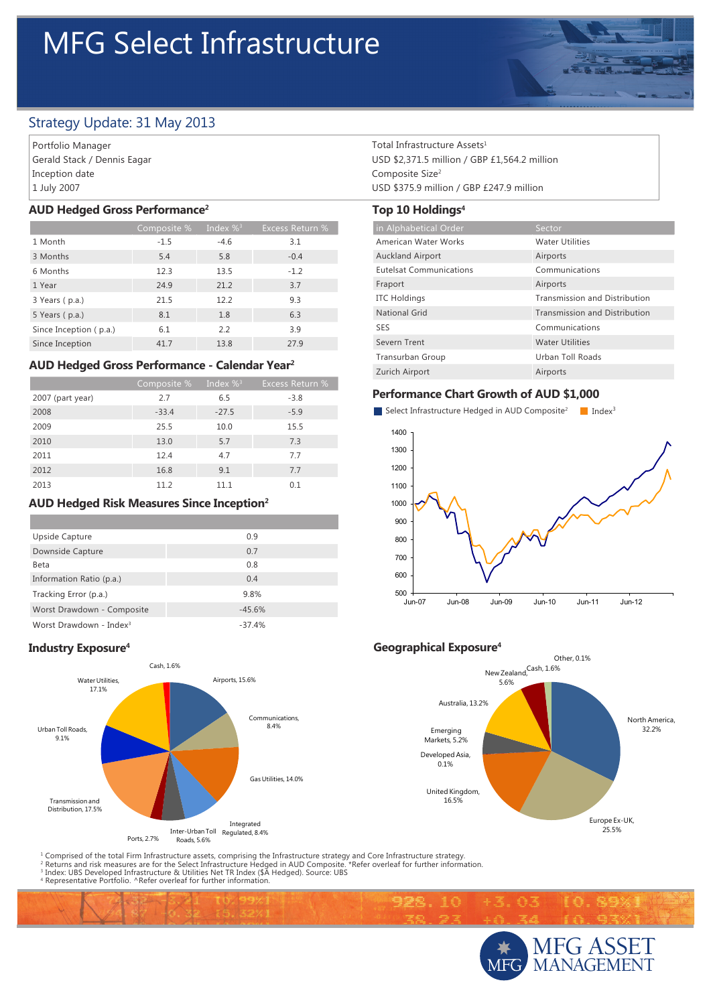# MFG Select Infrastructure



# Strategy Update: 31 May 2013

Portfolio Manager Gerald Stack / Dennis Eagar Inception date 1 July 2007

#### **AUD Hedged Gross Performance2**

|                        | Composite % | Index $\%$ <sup>3</sup> | <b>Excess Return %</b> |
|------------------------|-------------|-------------------------|------------------------|
| 1 Month                | $-1.5$      | $-4.6$                  | 3.1                    |
| 3 Months               | 5.4         | 5.8                     | $-0.4$                 |
| 6 Months               | 12.3        | 13.5                    | $-1.2$                 |
| 1 Year                 | 24.9        | 21.2                    | 3.7                    |
| 3 Years (p.a.)         | 21.5        | 12.2                    | 9.3                    |
| 5 Years (p.a.)         | 8.1         | 1.8                     | 6.3                    |
| Since Inception (p.a.) | 6.1         | 2.2                     | 3.9                    |
| Since Inception        | 41.7        | 13.8                    | 27.9                   |

## **AUD Hedged Gross Performance - Calendar Year2**

|                  | Composite % | Index $\%$ <sup>3</sup> | <b>Excess Return %</b> |
|------------------|-------------|-------------------------|------------------------|
| 2007 (part year) | 2.7         | 6.5                     | $-3.8$                 |
| 2008             | $-33.4$     | $-27.5$                 | $-5.9$                 |
| 2009             | 25.5        | 10.0                    | 15.5                   |
| 2010             | 13.0        | 5.7                     | 7.3                    |
| 2011             | 12.4        | 4.7                     | 7.7                    |
| 2012             | 16.8        | 9.1                     | 7.7                    |
| 2013             | 11.2        | 11.1                    | 0.1                    |

#### **AUD Hedged Risk Measures Since Inception2**

| Upside Capture                      | 0.9      |
|-------------------------------------|----------|
| Downside Capture                    | 0.7      |
| Beta                                | 0.8      |
| Information Ratio (p.a.)            | 0.4      |
| Tracking Error (p.a.)               | 9.8%     |
| Worst Drawdown - Composite          | $-45.6%$ |
| Worst Drawdown - Index <sup>3</sup> | $-37.4%$ |



<sup>1</sup> Comprised of the total Firm Infrastructure assets, comprising the Infrastructure strategy and Core Infrastructure strategy.<br><sup>2</sup> Returns and risk measures are for the Select Infrastructure Hedged in AUD Composite. \*Refe

Total Infrastructure Assets1 USD \$2,371.5 million / GBP £1,564.2 million Composite Size<sup>2</sup> USD \$375.9 million / GBP £247.9 million

## **Top 10 Holdings4**

| in Alphabetical Order          | Sector                               |
|--------------------------------|--------------------------------------|
| American Water Works           | <b>Water Utilities</b>               |
| <b>Auckland Airport</b>        | Airports                             |
| <b>Eutelsat Communications</b> | Communications                       |
| Fraport                        | Airports                             |
| <b>ITC Holdings</b>            | <b>Transmission and Distribution</b> |
| <b>National Grid</b>           | Transmission and Distribution        |
| <b>SES</b>                     | Communications                       |
| Severn Trent                   | <b>Water Utilities</b>               |
| Transurban Group               | Urban Toll Roads                     |
| Zurich Airport                 | Airports                             |

#### **Performance Chart Growth of AUD \$1,000**



## **Industry Exposure<sup>4</sup> Industry Exposure**<sup>4</sup>

998.10



通河



ie er